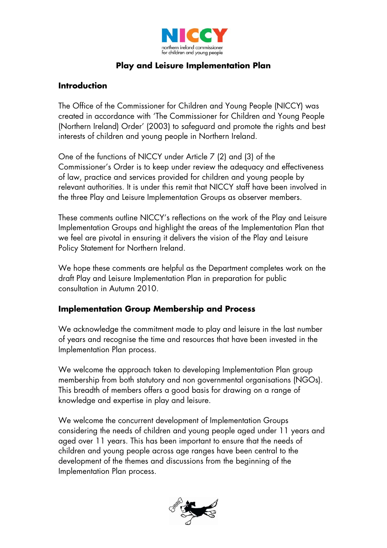

## **Play and Leisure Implementation Plan**

## **Introduction**

The Office of the Commissioner for Children and Young People (NICCY) was created in accordance with 'The Commissioner for Children and Young People (Northern Ireland) Order' (2003) to safeguard and promote the rights and best interests of children and young people in Northern Ireland.

One of the functions of NICCY under Article 7 (2) and (3) of the Commissioner's Order is to keep under review the adequacy and effectiveness of law, practice and services provided for children and young people by relevant authorities. It is under this remit that NICCY staff have been involved in the three Play and Leisure Implementation Groups as observer members.

These comments outline NICCY's reflections on the work of the Play and Leisure Implementation Groups and highlight the areas of the Implementation Plan that we feel are pivotal in ensuring it delivers the vision of the Play and Leisure Policy Statement for Northern Ireland.

We hope these comments are helpful as the Department completes work on the draft Play and Leisure Implementation Plan in preparation for public consultation in Autumn 2010.

## **Implementation Group Membership and Process**

We acknowledge the commitment made to play and leisure in the last number of years and recognise the time and resources that have been invested in the Implementation Plan process.

We welcome the approach taken to developing Implementation Plan group membership from both statutory and non governmental organisations (NGOs). This breadth of members offers a good basis for drawing on a range of knowledge and expertise in play and leisure.

We welcome the concurrent development of Implementation Groups considering the needs of children and young people aged under 11 years and aged over 11 years. This has been important to ensure that the needs of children and young people across age ranges have been central to the development of the themes and discussions from the beginning of the Implementation Plan process.

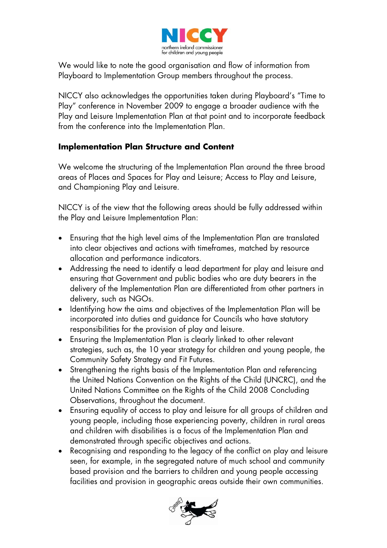

We would like to note the good organisation and flow of information from Playboard to Implementation Group members throughout the process.

NICCY also acknowledges the opportunities taken during Playboard's "Time to Play" conference in November 2009 to engage a broader audience with the Play and Leisure Implementation Plan at that point and to incorporate feedback from the conference into the Implementation Plan.

## **Implementation Plan Structure and Content**

We welcome the structuring of the Implementation Plan around the three broad areas of Places and Spaces for Play and Leisure; Access to Play and Leisure, and Championing Play and Leisure.

NICCY is of the view that the following areas should be fully addressed within the Play and Leisure Implementation Plan:

- Ensuring that the high level aims of the Implementation Plan are translated into clear objectives and actions with timeframes, matched by resource allocation and performance indicators.
- Addressing the need to identify a lead department for play and leisure and ensuring that Government and public bodies who are duty bearers in the delivery of the Implementation Plan are differentiated from other partners in delivery, such as NGOs.
- Identifying how the aims and objectives of the Implementation Plan will be incorporated into duties and guidance for Councils who have statutory responsibilities for the provision of play and leisure.
- Ensuring the Implementation Plan is clearly linked to other relevant strategies, such as, the 10 year strategy for children and young people, the Community Safety Strategy and Fit Futures.
- Strengthening the rights basis of the Implementation Plan and referencing the United Nations Convention on the Rights of the Child (UNCRC), and the United Nations Committee on the Rights of the Child 2008 Concluding Observations, throughout the document.
- Ensuring equality of access to play and leisure for all groups of children and young people, including those experiencing poverty, children in rural areas and children with disabilities is a focus of the Implementation Plan and demonstrated through specific objectives and actions.
- Recognising and responding to the legacy of the conflict on play and leisure seen, for example, in the segregated nature of much school and community based provision and the barriers to children and young people accessing facilities and provision in geographic areas outside their own communities.